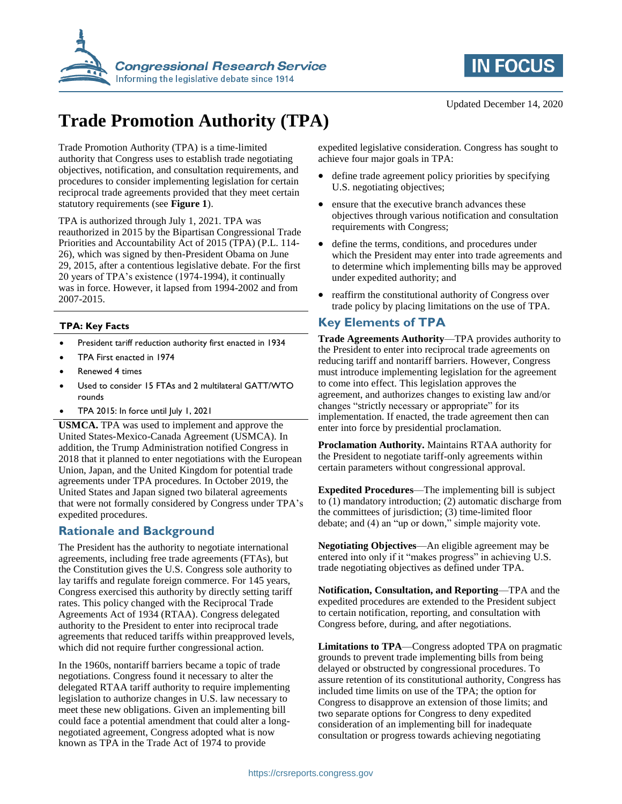



# **Trade Promotion Authority (TPA)**

Trade Promotion Authority (TPA) is a time-limited authority that Congress uses to establish trade negotiating objectives, notification, and consultation requirements, and procedures to consider implementing legislation for certain reciprocal trade agreements provided that they meet certain statutory requirements (see **Figure 1**).

TPA is authorized through July 1, 2021. TPA was reauthorized in 2015 by the Bipartisan Congressional Trade Priorities and Accountability Act of 2015 (TPA) (P.L. 114- 26), which was signed by then-President Obama on June 29, 2015, after a contentious legislative debate. For the first 20 years of TPA's existence (1974-1994), it continually was in force. However, it lapsed from 1994-2002 and from 2007-2015.

#### **TPA: Key Facts**

- President tariff reduction authority first enacted in 1934
- TPA First enacted in 1974
- Renewed 4 times
- Used to consider 15 FTAs and 2 multilateral GATT/WTO rounds
- TPA 2015: In force until July 1, 2021

**USMCA.** TPA was used to implement and approve the United States-Mexico-Canada Agreement (USMCA). In addition, the Trump Administration notified Congress in 2018 that it planned to enter negotiations with the European Union, Japan, and the United Kingdom for potential trade agreements under TPA procedures. In October 2019, the United States and Japan signed two bilateral agreements that were not formally considered by Congress under TPA's expedited procedures.

## **Rationale and Background**

The President has the authority to negotiate international agreements, including free trade agreements (FTAs), but the Constitution gives the U.S. Congress sole authority to lay tariffs and regulate foreign commerce. For 145 years, Congress exercised this authority by directly setting tariff rates. This policy changed with the Reciprocal Trade Agreements Act of 1934 (RTAA). Congress delegated authority to the President to enter into reciprocal trade agreements that reduced tariffs within preapproved levels, which did not require further congressional action.

In the 1960s, nontariff barriers became a topic of trade negotiations. Congress found it necessary to alter the delegated RTAA tariff authority to require implementing legislation to authorize changes in U.S. law necessary to meet these new obligations. Given an implementing bill could face a potential amendment that could alter a longnegotiated agreement, Congress adopted what is now known as TPA in the Trade Act of 1974 to provide

expedited legislative consideration. Congress has sought to achieve four major goals in TPA:

- define trade agreement policy priorities by specifying U.S. negotiating objectives;
- ensure that the executive branch advances these objectives through various notification and consultation requirements with Congress;
- define the terms, conditions, and procedures under which the President may enter into trade agreements and to determine which implementing bills may be approved under expedited authority; and
- reaffirm the constitutional authority of Congress over trade policy by placing limitations on the use of TPA.

## **Key Elements of TPA**

**Trade Agreements Authority**—TPA provides authority to the President to enter into reciprocal trade agreements on reducing tariff and nontariff barriers. However, Congress must introduce implementing legislation for the agreement to come into effect. This legislation approves the agreement, and authorizes changes to existing law and/or changes "strictly necessary or appropriate" for its implementation. If enacted, the trade agreement then can enter into force by presidential proclamation.

**Proclamation Authority.** Maintains RTAA authority for the President to negotiate tariff-only agreements within certain parameters without congressional approval.

**Expedited Procedures**—The implementing bill is subject to (1) mandatory introduction; (2) automatic discharge from the committees of jurisdiction; (3) time-limited floor debate; and (4) an "up or down," simple majority vote.

**Negotiating Objectives**—An eligible agreement may be entered into only if it "makes progress" in achieving U.S. trade negotiating objectives as defined under TPA.

**Notification, Consultation, and Reporting**—TPA and the expedited procedures are extended to the President subject to certain notification, reporting, and consultation with Congress before, during, and after negotiations.

**Limitations to TPA**—Congress adopted TPA on pragmatic grounds to prevent trade implementing bills from being delayed or obstructed by congressional procedures. To assure retention of its constitutional authority, Congress has included time limits on use of the TPA; the option for Congress to disapprove an extension of those limits; and two separate options for Congress to deny expedited consideration of an implementing bill for inadequate consultation or progress towards achieving negotiating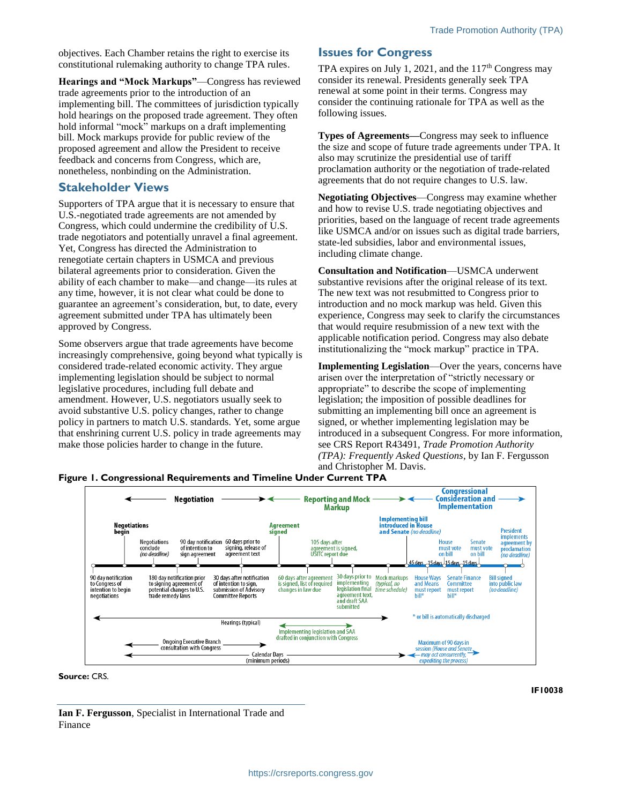objectives. Each Chamber retains the right to exercise its constitutional rulemaking authority to change TPA rules.

**Hearings and "Mock Markups"**—Congress has reviewed trade agreements prior to the introduction of an implementing bill. The committees of jurisdiction typically hold hearings on the proposed trade agreement. They often hold informal "mock" markups on a draft implementing bill. Mock markups provide for public review of the proposed agreement and allow the President to receive feedback and concerns from Congress, which are, nonetheless, nonbinding on the Administration.

### **Stakeholder Views**

Supporters of TPA argue that it is necessary to ensure that U.S.-negotiated trade agreements are not amended by Congress, which could undermine the credibility of U.S. trade negotiators and potentially unravel a final agreement. Yet, Congress has directed the Administration to renegotiate certain chapters in USMCA and previous bilateral agreements prior to consideration. Given the ability of each chamber to make—and change—its rules at any time, however, it is not clear what could be done to guarantee an agreement's consideration, but, to date, every agreement submitted under TPA has ultimately been approved by Congress.

Some observers argue that trade agreements have become increasingly comprehensive, going beyond what typically is considered trade-related economic activity. They argue implementing legislation should be subject to normal legislative procedures, including full debate and amendment. However, U.S. negotiators usually seek to avoid substantive U.S. policy changes, rather to change policy in partners to match U.S. standards. Yet, some argue that enshrining current U.S. policy in trade agreements may make those policies harder to change in the future.

#### **Issues for Congress**

TPA expires on July 1, 2021, and the  $117<sup>th</sup>$  Congress may consider its renewal. Presidents generally seek TPA renewal at some point in their terms. Congress may consider the continuing rationale for TPA as well as the following issues.

**Types of Agreements—**Congress may seek to influence the size and scope of future trade agreements under TPA. It also may scrutinize the presidential use of tariff proclamation authority or the negotiation of trade-related agreements that do not require changes to U.S. law.

**Negotiating Objectives**—Congress may examine whether and how to revise U.S. trade negotiating objectives and priorities, based on the language of recent trade agreements like USMCA and/or on issues such as digital trade barriers, state-led subsidies, labor and environmental issues, including climate change.

**Consultation and Notification**—USMCA underwent substantive revisions after the original release of its text. The new text was not resubmitted to Congress prior to introduction and no mock markup was held. Given this experience, Congress may seek to clarify the circumstances that would require resubmission of a new text with the applicable notification period. Congress may also debate institutionalizing the "mock markup" practice in TPA.

**Implementing Legislation**—Over the years, concerns have arisen over the interpretation of "strictly necessary or appropriate" to describe the scope of implementing legislation; the imposition of possible deadlines for submitting an implementing bill once an agreement is signed, or whether implementing legislation may be introduced in a subsequent Congress. For more information, see CRS Report R43491, *Trade Promotion Authority (TPA): Frequently Asked Questions*, by Ian F. Fergusson and Christopher M. Davis.

**Figure 1. Congressional Requirements and Timeline Under Current TPA**



**Source:** CRS.

**Ian F. Fergusson**, Specialist in International Trade and Finance

**IF10038**